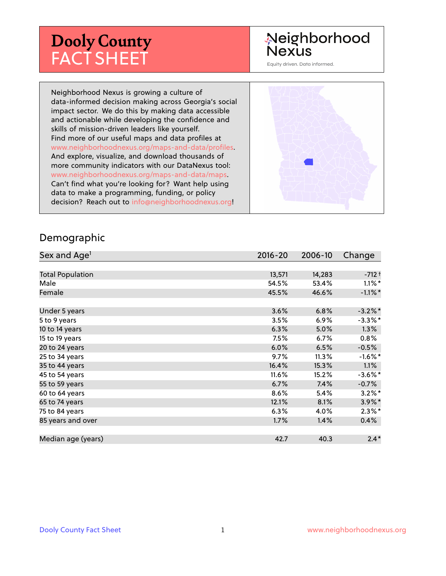# **Dooly County** FACT SHEET

# Neighborhood **Nexus**

Equity driven. Data informed.

Neighborhood Nexus is growing a culture of data-informed decision making across Georgia's social impact sector. We do this by making data accessible and actionable while developing the confidence and skills of mission-driven leaders like yourself. Find more of our useful maps and data profiles at www.neighborhoodnexus.org/maps-and-data/profiles. And explore, visualize, and download thousands of more community indicators with our DataNexus tool: www.neighborhoodnexus.org/maps-and-data/maps. Can't find what you're looking for? Want help using data to make a programming, funding, or policy decision? Reach out to [info@neighborhoodnexus.org!](mailto:info@neighborhoodnexus.org)



#### Demographic

| Sex and Age <sup>1</sup> | $2016 - 20$ | 2006-10 | Change     |
|--------------------------|-------------|---------|------------|
|                          |             |         |            |
| <b>Total Population</b>  | 13,571      | 14,283  | $-712 +$   |
| Male                     | 54.5%       | 53.4%   | $1.1\%$ *  |
| Female                   | 45.5%       | 46.6%   | $-1.1\%$ * |
|                          |             |         |            |
| Under 5 years            | 3.6%        | 6.8%    | $-3.2\%$ * |
| 5 to 9 years             | 3.5%        | $6.9\%$ | $-3.3\%$ * |
| 10 to 14 years           | 6.3%        | 5.0%    | $1.3\%$    |
| 15 to 19 years           | 7.5%        | 6.7%    | 0.8%       |
| 20 to 24 years           | 6.0%        | 6.5%    | $-0.5%$    |
| 25 to 34 years           | 9.7%        | 11.3%   | $-1.6\%$ * |
| 35 to 44 years           | 16.4%       | 15.3%   | 1.1%       |
| 45 to 54 years           | 11.6%       | 15.2%   | $-3.6\%$ * |
| 55 to 59 years           | 6.7%        | 7.4%    | $-0.7%$    |
| 60 to 64 years           | 8.6%        | 5.4%    | $3.2\%$ *  |
| 65 to 74 years           | 12.1%       | 8.1%    | $3.9\%$ *  |
| 75 to 84 years           | 6.3%        | 4.0%    | $2.3\%$ *  |
| 85 years and over        | 1.7%        | 1.4%    | 0.4%       |
|                          |             |         |            |
| Median age (years)       | 42.7        | 40.3    | $2.4*$     |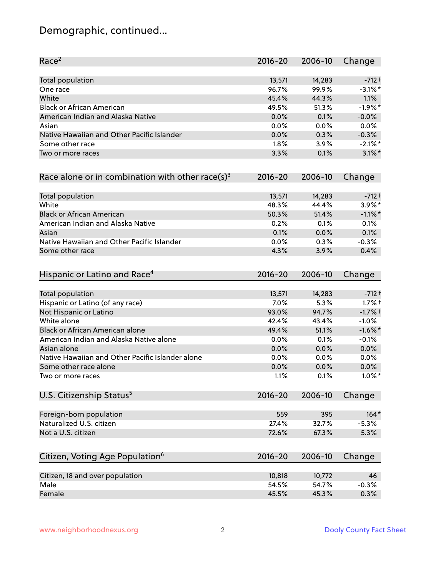# Demographic, continued...

| Race <sup>2</sup>                                            | $2016 - 20$     | 2006-10         | Change     |
|--------------------------------------------------------------|-----------------|-----------------|------------|
| <b>Total population</b>                                      | 13,571          | 14,283          | $-712 +$   |
| One race                                                     | 96.7%           | 99.9%           | $-3.1\%$ * |
| White                                                        | 45.4%           | 44.3%           | 1.1%       |
| <b>Black or African American</b>                             | 49.5%           | 51.3%           | $-1.9%$ *  |
| American Indian and Alaska Native                            | 0.0%            | 0.1%            | $-0.0%$    |
| Asian                                                        | 0.0%            | $0.0\%$         | 0.0%       |
| Native Hawaiian and Other Pacific Islander                   | 0.0%            | 0.3%            | $-0.3%$    |
| Some other race                                              | 1.8%            | 3.9%            | $-2.1\%$ * |
| Two or more races                                            | 3.3%            | 0.1%            | $3.1\%$ *  |
| Race alone or in combination with other race(s) <sup>3</sup> | $2016 - 20$     | 2006-10         | Change     |
| Total population                                             | 13,571          | 14,283          | $-712 +$   |
| White                                                        | 48.3%           | 44.4%           | 3.9%*      |
| <b>Black or African American</b>                             | 50.3%           | 51.4%           | $-1.1\%$ * |
| American Indian and Alaska Native                            | 0.2%            | 0.1%            | 0.1%       |
| Asian                                                        | 0.1%            | 0.0%            | 0.1%       |
| Native Hawaiian and Other Pacific Islander                   | 0.0%            | 0.3%            | $-0.3%$    |
| Some other race                                              | 4.3%            | 3.9%            | 0.4%       |
| Hispanic or Latino and Race <sup>4</sup>                     | $2016 - 20$     | 2006-10         | Change     |
| <b>Total population</b>                                      | 13,571          | 14,283          | $-712 +$   |
| Hispanic or Latino (of any race)                             | 7.0%            | 5.3%            | $1.7%$ †   |
| Not Hispanic or Latino                                       | 93.0%           | 94.7%           | $-1.7%$ †  |
| White alone                                                  | 42.4%           | 43.4%           | $-1.0%$    |
| Black or African American alone                              | 49.4%           | 51.1%           | $-1.6\%$ * |
| American Indian and Alaska Native alone                      | 0.0%            | 0.1%            | $-0.1%$    |
| Asian alone                                                  | 0.0%            | 0.0%            | 0.0%       |
| Native Hawaiian and Other Pacific Islander alone             | 0.0%            | 0.0%            | 0.0%       |
| Some other race alone                                        | 0.0%            | 0.0%            | $0.0\%$    |
| Two or more races                                            | 1.1%            | 0.1%            | $1.0\%$ *  |
| U.S. Citizenship Status <sup>5</sup>                         | $2016 - 20$     | 2006-10         | Change     |
| Foreign-born population                                      | 559             | 395             | $164*$     |
| Naturalized U.S. citizen                                     | 27.4%           | 32.7%           | $-5.3%$    |
| Not a U.S. citizen                                           | 72.6%           | 67.3%           | 5.3%       |
| Citizen, Voting Age Population <sup>6</sup>                  | $2016 - 20$     | 2006-10         | Change     |
|                                                              |                 |                 | 46         |
| Citizen, 18 and over population<br>Male                      | 10,818<br>54.5% | 10,772<br>54.7% | $-0.3%$    |
| Female                                                       |                 |                 |            |
|                                                              | 45.5%           | 45.3%           | 0.3%       |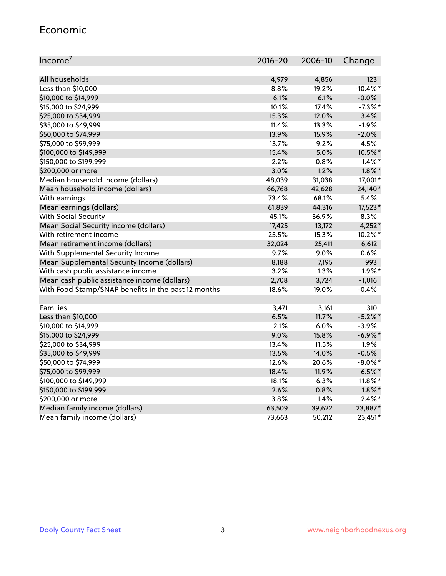#### Economic

| Income <sup>7</sup>                                 | $2016 - 20$ | 2006-10 | Change      |
|-----------------------------------------------------|-------------|---------|-------------|
|                                                     |             |         |             |
| All households                                      | 4,979       | 4,856   | 123         |
| Less than \$10,000                                  | 8.8%        | 19.2%   | $-10.4\%$ * |
| \$10,000 to \$14,999                                | 6.1%        | 6.1%    | $-0.0%$     |
| \$15,000 to \$24,999                                | 10.1%       | 17.4%   | $-7.3\%$ *  |
| \$25,000 to \$34,999                                | 15.3%       | 12.0%   | 3.4%        |
| \$35,000 to \$49,999                                | 11.4%       | 13.3%   | $-1.9%$     |
| \$50,000 to \$74,999                                | 13.9%       | 15.9%   | $-2.0%$     |
| \$75,000 to \$99,999                                | 13.7%       | 9.2%    | 4.5%        |
| \$100,000 to \$149,999                              | 15.4%       | 5.0%    | 10.5%*      |
| \$150,000 to \$199,999                              | 2.2%        | 0.8%    | $1.4\%$ *   |
| \$200,000 or more                                   | 3.0%        | 1.2%    | $1.8\%$ *   |
| Median household income (dollars)                   | 48,039      | 31,038  | 17,001*     |
| Mean household income (dollars)                     | 66,768      | 42,628  | 24,140*     |
| With earnings                                       | 73.4%       | 68.1%   | 5.4%        |
| Mean earnings (dollars)                             | 61,839      | 44,316  | 17,523*     |
| <b>With Social Security</b>                         | 45.1%       | 36.9%   | 8.3%        |
| Mean Social Security income (dollars)               | 17,425      | 13,172  | $4,252*$    |
| With retirement income                              | 25.5%       | 15.3%   | 10.2%*      |
| Mean retirement income (dollars)                    | 32,024      | 25,411  | 6,612       |
| With Supplemental Security Income                   | $9.7\%$     | 9.0%    | 0.6%        |
| Mean Supplemental Security Income (dollars)         | 8,188       | 7,195   | 993         |
| With cash public assistance income                  | 3.2%        | 1.3%    | $1.9\%$ *   |
| Mean cash public assistance income (dollars)        | 2,708       | 3,724   | $-1,016$    |
| With Food Stamp/SNAP benefits in the past 12 months | 18.6%       | 19.0%   | $-0.4%$     |
|                                                     |             |         |             |
| Families                                            | 3,471       | 3,161   | 310         |
| Less than \$10,000                                  | 6.5%        | 11.7%   | $-5.2%$ *   |
| \$10,000 to \$14,999                                | 2.1%        | 6.0%    | $-3.9%$     |
| \$15,000 to \$24,999                                | 9.0%        | 15.8%   | $-6.9\%$ *  |
| \$25,000 to \$34,999                                | 13.4%       | 11.5%   | 1.9%        |
| \$35,000 to \$49,999                                | 13.5%       | 14.0%   | $-0.5%$     |
| \$50,000 to \$74,999                                | 12.6%       | 20.6%   | $-8.0\%$ *  |
| \$75,000 to \$99,999                                | 18.4%       | 11.9%   | $6.5%$ *    |
| \$100,000 to \$149,999                              | 18.1%       | 6.3%    | $11.8\%$ *  |
| \$150,000 to \$199,999                              | 2.6%        | 0.8%    | $1.8\%$ *   |
| \$200,000 or more                                   | 3.8%        | 1.4%    | $2.4\%$ *   |
| Median family income (dollars)                      | 63,509      | 39,622  | 23,887*     |
| Mean family income (dollars)                        | 73,663      | 50,212  | 23,451*     |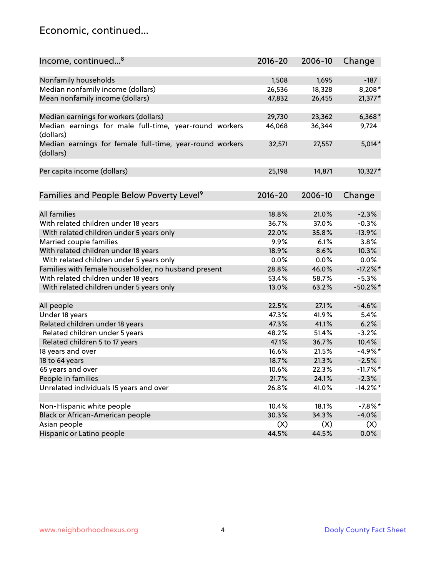### Economic, continued...

| Income, continued <sup>8</sup>                                        | $2016 - 20$ | 2006-10 | Change      |
|-----------------------------------------------------------------------|-------------|---------|-------------|
|                                                                       |             |         |             |
| Nonfamily households                                                  | 1,508       | 1,695   | $-187$      |
| Median nonfamily income (dollars)                                     | 26,536      | 18,328  | 8,208*      |
| Mean nonfamily income (dollars)                                       | 47,832      | 26,455  | 21,377*     |
| Median earnings for workers (dollars)                                 | 29,730      | 23,362  | $6,368*$    |
| Median earnings for male full-time, year-round workers                | 46,068      | 36,344  | 9,724       |
| (dollars)                                                             |             |         |             |
| Median earnings for female full-time, year-round workers<br>(dollars) | 32,571      | 27,557  | $5,014*$    |
|                                                                       |             |         |             |
| Per capita income (dollars)                                           | 25,198      | 14,871  | 10,327*     |
| Families and People Below Poverty Level <sup>9</sup>                  | $2016 - 20$ | 2006-10 | Change      |
|                                                                       |             |         |             |
| <b>All families</b>                                                   | 18.8%       | 21.0%   | $-2.3%$     |
| With related children under 18 years                                  | 36.7%       | 37.0%   | $-0.3%$     |
| With related children under 5 years only                              | 22.0%       | 35.8%   | $-13.9%$    |
| Married couple families                                               | 9.9%        | 6.1%    | 3.8%        |
| With related children under 18 years                                  | 18.9%       | 8.6%    | 10.3%       |
| With related children under 5 years only                              | 0.0%        | 0.0%    | 0.0%        |
| Families with female householder, no husband present                  | 28.8%       | 46.0%   | $-17.2\%$ * |
| With related children under 18 years                                  | 53.4%       | 58.7%   | $-5.3%$     |
| With related children under 5 years only                              | 13.0%       | 63.2%   | $-50.2%$    |
|                                                                       |             |         |             |
| All people                                                            | 22.5%       | 27.1%   | $-4.6%$     |
| Under 18 years                                                        | 47.3%       | 41.9%   | 5.4%        |
| Related children under 18 years                                       | 47.3%       | 41.1%   | 6.2%        |
| Related children under 5 years                                        | 48.2%       | 51.4%   | $-3.2%$     |
| Related children 5 to 17 years                                        | 47.1%       | 36.7%   | 10.4%       |
| 18 years and over                                                     | 16.6%       | 21.5%   | $-4.9%$ *   |
| 18 to 64 years                                                        | 18.7%       | 21.3%   | $-2.5%$     |
| 65 years and over                                                     | 10.6%       | 22.3%   | $-11.7\%$ * |
| People in families                                                    | 21.7%       | 24.1%   | $-2.3%$     |
| Unrelated individuals 15 years and over                               | 26.8%       | 41.0%   | $-14.2\%$ * |
|                                                                       |             |         |             |
| Non-Hispanic white people                                             | 10.4%       | 18.1%   | $-7.8\%$ *  |
| Black or African-American people                                      | 30.3%       | 34.3%   | $-4.0%$     |
| Asian people                                                          | (X)         | (X)     | (X)         |
| Hispanic or Latino people                                             | 44.5%       | 44.5%   | $0.0\%$     |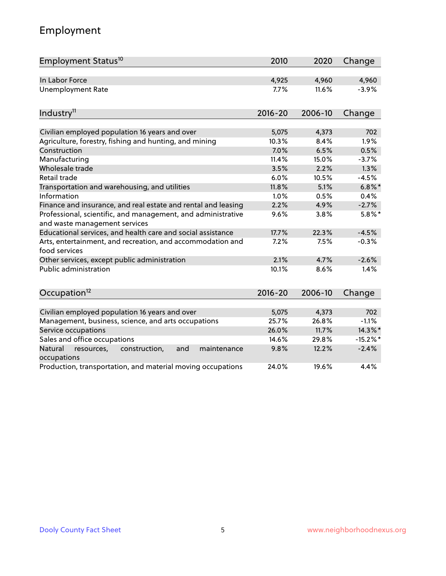# Employment

| Employment Status <sup>10</sup>                                                               | 2010        | 2020    | Change    |
|-----------------------------------------------------------------------------------------------|-------------|---------|-----------|
| In Labor Force                                                                                | 4,925       | 4,960   | 4,960     |
| Unemployment Rate                                                                             | 7.7%        | 11.6%   | $-3.9%$   |
| Industry <sup>11</sup>                                                                        | $2016 - 20$ | 2006-10 | Change    |
|                                                                                               |             |         |           |
| Civilian employed population 16 years and over                                                | 5,075       | 4,373   | 702       |
| Agriculture, forestry, fishing and hunting, and mining                                        | 10.3%       | 8.4%    | 1.9%      |
| Construction                                                                                  | 7.0%        | 6.5%    | 0.5%      |
| Manufacturing                                                                                 | 11.4%       | 15.0%   | $-3.7%$   |
| Wholesale trade                                                                               | 3.5%        | 2.2%    | 1.3%      |
| Retail trade                                                                                  | 6.0%        | 10.5%   | $-4.5%$   |
| Transportation and warehousing, and utilities                                                 | 11.8%       | 5.1%    | $6.8\%$ * |
| Information                                                                                   | 1.0%        | 0.5%    | 0.4%      |
| Finance and insurance, and real estate and rental and leasing                                 | 2.2%        | 4.9%    | $-2.7%$   |
| Professional, scientific, and management, and administrative<br>and waste management services | 9.6%        | 3.8%    | $5.8\%$ * |
| Educational services, and health care and social assistance                                   | 17.7%       | 22.3%   | $-4.5%$   |
| Arts, entertainment, and recreation, and accommodation and<br>food services                   | 7.2%        | 7.5%    | $-0.3%$   |
| Other services, except public administration                                                  | 2.1%        | 4.7%    | $-2.6%$   |
| Public administration                                                                         | 10.1%       | 8.6%    | 1.4%      |
| Occupation <sup>12</sup>                                                                      | $2016 - 20$ | 2006-10 | Change    |
|                                                                                               |             |         |           |
| Civilian employed population 16 years and over                                                | 5,075       | 4,373   | 702       |
| Management, business, science, and arts occupations                                           | 25.7%       | 26.8%   | $-1.1%$   |
| Service occupations                                                                           | 26.0%       | 11.7%   | 14.3%*    |
| Sales and office occupations                                                                  | 14.6%       | 29.8%   | $-15.2%$  |
| Natural<br>resources,<br>construction,<br>and<br>maintenance<br>occupations                   | 9.8%        | 12.2%   | $-2.4%$   |
| Production, transportation, and material moving occupations                                   | 24.0%       | 19.6%   | 4.4%      |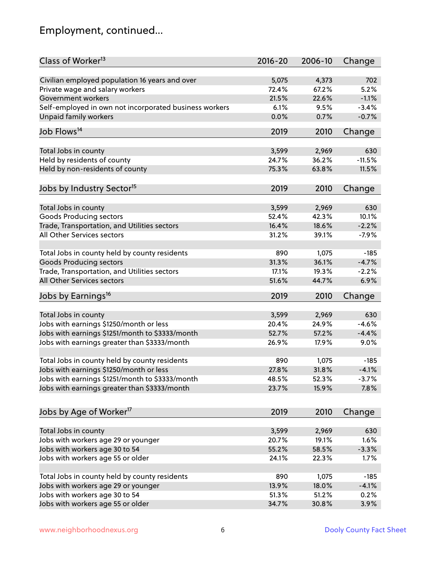# Employment, continued...

| Class of Worker <sup>13</sup>                                                                   | $2016 - 20$ | 2006-10 | Change   |
|-------------------------------------------------------------------------------------------------|-------------|---------|----------|
| Civilian employed population 16 years and over                                                  | 5,075       | 4,373   | 702      |
| Private wage and salary workers                                                                 | 72.4%       | 67.2%   | 5.2%     |
| Government workers                                                                              | 21.5%       | 22.6%   | $-1.1%$  |
| Self-employed in own not incorporated business workers                                          | 6.1%        | 9.5%    | $-3.4%$  |
| <b>Unpaid family workers</b>                                                                    | 0.0%        | 0.7%    | $-0.7%$  |
|                                                                                                 |             |         |          |
| Job Flows <sup>14</sup>                                                                         | 2019        | 2010    | Change   |
| Total Jobs in county                                                                            | 3,599       | 2,969   | 630      |
| Held by residents of county                                                                     | 24.7%       | 36.2%   | $-11.5%$ |
| Held by non-residents of county                                                                 | 75.3%       | 63.8%   | 11.5%    |
|                                                                                                 |             |         |          |
| Jobs by Industry Sector <sup>15</sup>                                                           | 2019        | 2010    | Change   |
|                                                                                                 |             |         |          |
| Total Jobs in county                                                                            | 3,599       | 2,969   | 630      |
| Goods Producing sectors                                                                         | 52.4%       | 42.3%   | 10.1%    |
| Trade, Transportation, and Utilities sectors                                                    | 16.4%       | 18.6%   | $-2.2%$  |
| All Other Services sectors                                                                      | 31.2%       | 39.1%   | $-7.9%$  |
| Total Jobs in county held by county residents                                                   | 890         | 1,075   | $-185$   |
| <b>Goods Producing sectors</b>                                                                  | 31.3%       | 36.1%   | $-4.7%$  |
| Trade, Transportation, and Utilities sectors                                                    | 17.1%       | 19.3%   | $-2.2%$  |
| All Other Services sectors                                                                      | 51.6%       | 44.7%   | 6.9%     |
|                                                                                                 |             |         |          |
| Jobs by Earnings <sup>16</sup>                                                                  | 2019        | 2010    | Change   |
|                                                                                                 | 3,599       | 2,969   | 630      |
| Total Jobs in county                                                                            | 20.4%       | 24.9%   | $-4.6%$  |
| Jobs with earnings \$1250/month or less                                                         | 52.7%       | 57.2%   | $-4.4%$  |
| Jobs with earnings \$1251/month to \$3333/month<br>Jobs with earnings greater than \$3333/month |             |         |          |
|                                                                                                 | 26.9%       | 17.9%   | 9.0%     |
| Total Jobs in county held by county residents                                                   | 890         | 1,075   | $-185$   |
| Jobs with earnings \$1250/month or less                                                         | 27.8%       | 31.8%   | $-4.1%$  |
| Jobs with earnings \$1251/month to \$3333/month                                                 | 48.5%       | 52.3%   | $-3.7\%$ |
| Jobs with earnings greater than \$3333/month                                                    | 23.7%       | 15.9%   | 7.8%     |
|                                                                                                 |             |         |          |
| Jobs by Age of Worker <sup>17</sup>                                                             | 2019        | 2010    | Change   |
|                                                                                                 |             |         |          |
| Total Jobs in county                                                                            | 3,599       | 2,969   | 630      |
| Jobs with workers age 29 or younger                                                             | 20.7%       | 19.1%   | 1.6%     |
| Jobs with workers age 30 to 54                                                                  | 55.2%       | 58.5%   | $-3.3%$  |
| Jobs with workers age 55 or older                                                               | 24.1%       | 22.3%   | 1.7%     |
| Total Jobs in county held by county residents                                                   | 890         | 1,075   | $-185$   |
| Jobs with workers age 29 or younger                                                             | 13.9%       | 18.0%   | $-4.1%$  |
| Jobs with workers age 30 to 54                                                                  | 51.3%       | 51.2%   | 0.2%     |
| Jobs with workers age 55 or older                                                               | 34.7%       | 30.8%   | 3.9%     |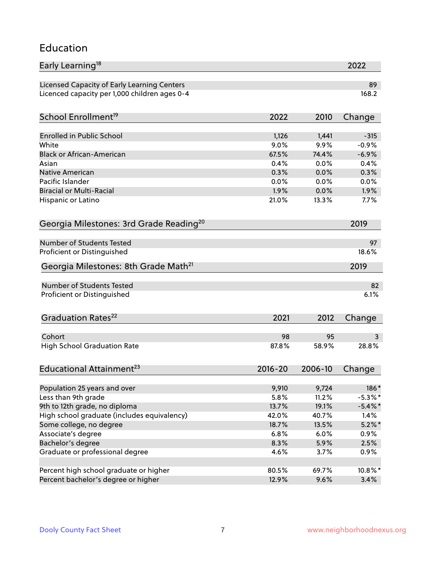#### Education

| Early Learning <sup>18</sup>                        |             |         | 2022       |
|-----------------------------------------------------|-------------|---------|------------|
| Licensed Capacity of Early Learning Centers         |             |         | 89         |
| Licenced capacity per 1,000 children ages 0-4       |             |         | 168.2      |
| School Enrollment <sup>19</sup>                     | 2022        | 2010    | Change     |
|                                                     |             |         |            |
| <b>Enrolled in Public School</b>                    | 1,126       | 1,441   | $-315$     |
| White                                               | 9.0%        | 9.9%    | $-0.9%$    |
| <b>Black or African-American</b>                    | 67.5%       | 74.4%   | $-6.9%$    |
| Asian                                               | 0.4%        | 0.0%    | 0.4%       |
| <b>Native American</b>                              | 0.3%        | 0.0%    | 0.3%       |
| Pacific Islander                                    | 0.0%        | 0.0%    | 0.0%       |
| <b>Biracial or Multi-Racial</b>                     | 1.9%        | 0.0%    | 1.9%       |
| Hispanic or Latino                                  | 21.0%       | 13.3%   | 7.7%       |
| Georgia Milestones: 3rd Grade Reading <sup>20</sup> |             |         | 2019       |
| <b>Number of Students Tested</b>                    |             |         |            |
|                                                     |             |         | 97         |
| Proficient or Distinguished                         |             |         | 18.6%      |
| Georgia Milestones: 8th Grade Math <sup>21</sup>    |             |         | 2019       |
| <b>Number of Students Tested</b>                    |             |         | 82         |
| Proficient or Distinguished                         |             |         | 6.1%       |
| Graduation Rates <sup>22</sup>                      | 2021        | 2012    | Change     |
|                                                     |             |         |            |
| Cohort                                              | 98          | 95      | 3          |
| <b>High School Graduation Rate</b>                  | 87.8%       | 58.9%   | 28.8%      |
| Educational Attainment <sup>23</sup>                | $2016 - 20$ | 2006-10 | Change     |
| Population 25 years and over                        | 9,910       | 9,724   | 186*       |
| Less than 9th grade                                 | 5.8%        | 11.2%   | $-5.3\%$ * |
| 9th to 12th grade, no diploma                       | 13.7%       | 19.1%   | $-5.4\%$ * |
|                                                     | 42.0%       | 40.7%   | 1.4%       |
| High school graduate (includes equivalency)         | 18.7%       | 13.5%   |            |
| Some college, no degree                             |             |         | $5.2\%$ *  |
| Associate's degree                                  | 6.8%        | 6.0%    | 0.9%       |
| Bachelor's degree                                   | 8.3%        | 5.9%    | 2.5%       |
| Graduate or professional degree                     | 4.6%        | 3.7%    | 0.9%       |
| Percent high school graduate or higher              | 80.5%       | 69.7%   | 10.8%*     |
| Percent bachelor's degree or higher                 | 12.9%       | 9.6%    | 3.4%       |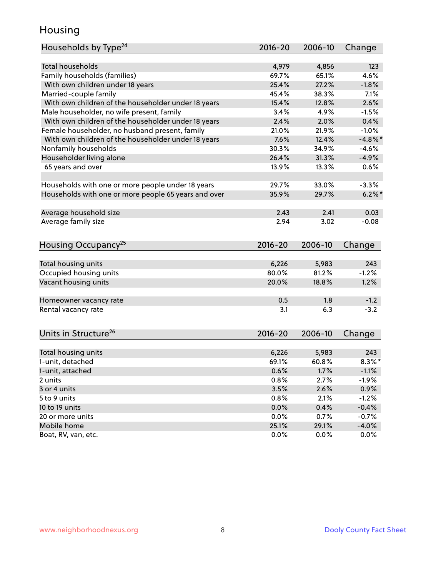### Housing

| Households by Type <sup>24</sup>                     | 2016-20     | 2006-10      | Change     |
|------------------------------------------------------|-------------|--------------|------------|
|                                                      |             |              |            |
| <b>Total households</b>                              | 4,979       | 4,856        | 123        |
| Family households (families)                         | 69.7%       | 65.1%        | 4.6%       |
| With own children under 18 years                     | 25.4%       | 27.2%        | $-1.8%$    |
| Married-couple family                                | 45.4%       | 38.3%        | 7.1%       |
| With own children of the householder under 18 years  | 15.4%       | 12.8%        | 2.6%       |
| Male householder, no wife present, family            | 3.4%        | 4.9%         | $-1.5%$    |
| With own children of the householder under 18 years  | 2.4%        | 2.0%         | 0.4%       |
| Female householder, no husband present, family       | 21.0%       | 21.9%        | $-1.0%$    |
| With own children of the householder under 18 years  | 7.6%        | 12.4%        | $-4.8\%$ * |
| Nonfamily households                                 | 30.3%       | 34.9%        | $-4.6%$    |
| Householder living alone                             | 26.4%       | 31.3%        | $-4.9%$    |
| 65 years and over                                    | 13.9%       | 13.3%        | 0.6%       |
| Households with one or more people under 18 years    | 29.7%       | 33.0%        | $-3.3%$    |
| Households with one or more people 65 years and over | 35.9%       | 29.7%        | $6.2\%$    |
|                                                      |             |              |            |
| Average household size                               | 2.43        | 2.41         | 0.03       |
| Average family size                                  | 2.94        | 3.02         | $-0.08$    |
| Housing Occupancy <sup>25</sup>                      | $2016 - 20$ | 2006-10      | Change     |
|                                                      |             |              |            |
| Total housing units                                  | 6,226       | 5,983        | 243        |
| Occupied housing units                               | 80.0%       | 81.2%        | $-1.2%$    |
| Vacant housing units                                 | 20.0%       | 18.8%        | 1.2%       |
|                                                      | 0.5         | 1.8          | $-1.2$     |
| Homeowner vacancy rate<br>Rental vacancy rate        | 3.1         | 6.3          | $-3.2$     |
|                                                      |             |              |            |
| Units in Structure <sup>26</sup>                     | 2016-20     | 2006-10      | Change     |
| Total housing units                                  | 6,226       | 5,983        | 243        |
| 1-unit, detached                                     | 69.1%       | 60.8%        | $8.3\%$ *  |
|                                                      |             |              |            |
| 1-unit, attached                                     | 0.6%        | 1.7%<br>2.7% | $-1.1%$    |
| 2 units                                              | 0.8%        |              | $-1.9%$    |
| 3 or 4 units                                         | 3.5%        | 2.6%         | 0.9%       |
| 5 to 9 units                                         | 0.8%        | 2.1%         | $-1.2%$    |
| 10 to 19 units                                       | 0.0%        | 0.4%         | $-0.4%$    |
| 20 or more units                                     | 0.0%        | 0.7%         | $-0.7%$    |
| Mobile home                                          | 25.1%       | 29.1%        | $-4.0%$    |
| Boat, RV, van, etc.                                  | 0.0%        | $0.0\%$      | $0.0\%$    |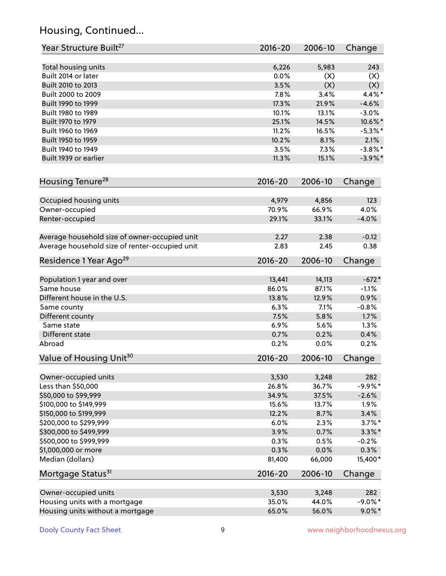# Housing, Continued...

| Year Structure Built <sup>27</sup>             | 2016-20        | 2006-10        | Change      |
|------------------------------------------------|----------------|----------------|-------------|
| Total housing units                            | 6,226          | 5,983          | 243         |
| Built 2014 or later                            | 0.0%           | (X)            | (X)         |
| Built 2010 to 2013                             | 3.5%           | (X)            | (X)         |
| Built 2000 to 2009                             | 7.8%           | 3.4%           | 4.4%*       |
| Built 1990 to 1999                             | 17.3%          | 21.9%          | $-4.6%$     |
| Built 1980 to 1989                             | 10.1%          | 13.1%          | $-3.0%$     |
| Built 1970 to 1979                             | 25.1%          | 14.5%          | 10.6%*      |
| Built 1960 to 1969                             | 11.2%          | 16.5%          | $-5.3%$ *   |
| Built 1950 to 1959                             | 10.2%          | 8.1%           | 2.1%        |
| Built 1940 to 1949                             | 3.5%           | 7.3%           | $-3.8\%$ *  |
| Built 1939 or earlier                          | 11.3%          | 15.1%          | $-3.9\%$ *  |
| Housing Tenure <sup>28</sup>                   | 2016-20        | 2006-10        | Change      |
|                                                |                |                |             |
| Occupied housing units                         | 4,979<br>70.9% | 4,856<br>66.9% | 123<br>4.0% |
| Owner-occupied                                 | 29.1%          | 33.1%          | $-4.0%$     |
| Renter-occupied                                |                |                |             |
| Average household size of owner-occupied unit  | 2.27           | 2.38           | $-0.12$     |
| Average household size of renter-occupied unit | 2.83           | 2.45           | 0.38        |
| Residence 1 Year Ago <sup>29</sup>             | 2016-20        | 2006-10        | Change      |
| Population 1 year and over                     | 13,441         | 14,113         | $-672*$     |
| Same house                                     | 86.0%          | 87.1%          | $-1.1%$     |
| Different house in the U.S.                    | 13.8%          | 12.9%          | 0.9%        |
| Same county                                    | 6.3%           | 7.1%           | $-0.8%$     |
| Different county                               | 7.5%           | 5.8%           | 1.7%        |
| Same state                                     | 6.9%           | 5.6%           | 1.3%        |
| Different state                                | 0.7%           | 0.2%           | 0.4%        |
| Abroad                                         | 0.2%           | 0.0%           | 0.2%        |
| Value of Housing Unit <sup>30</sup>            | 2016-20        | 2006-10        | Change      |
|                                                |                |                |             |
| Owner-occupied units                           | 3,530          | 3,248          | 282         |
| Less than \$50,000                             | 26.8%          | 36.7%          | $-9.9%$ *   |
| \$50,000 to \$99,999                           | 34.9%          | 37.5%          | $-2.6%$     |
| \$100,000 to \$149,999                         | 15.6%          | 13.7%          | 1.9%        |
| \$150,000 to \$199,999                         | 12.2%          | 8.7%           | 3.4%        |
| \$200,000 to \$299,999                         | 6.0%           | 2.3%           | $3.7\%$ *   |
| \$300,000 to \$499,999                         | 3.9%           | 0.7%           | $3.3\%$ *   |
| \$500,000 to \$999,999                         | 0.3%           | 0.5%           | $-0.2%$     |
| \$1,000,000 or more                            | 0.3%           | 0.0%           | 0.3%        |
| Median (dollars)                               | 81,400         | 66,000         | $15,400*$   |
| Mortgage Status <sup>31</sup>                  | $2016 - 20$    | 2006-10        | Change      |
| Owner-occupied units                           | 3,530          | 3,248          | 282         |
| Housing units with a mortgage                  | 35.0%          | 44.0%          | $-9.0\%$ *  |
| Housing units without a mortgage               | 65.0%          | 56.0%          | $9.0\%$ *   |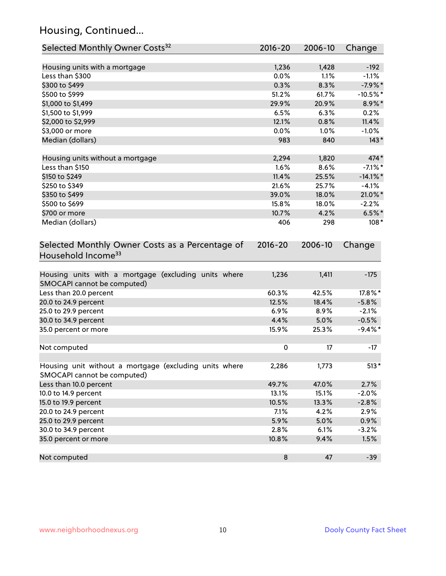# Housing, Continued...

| Selected Monthly Owner Costs <sup>32</sup>                                            | 2016-20     | 2006-10 | Change      |
|---------------------------------------------------------------------------------------|-------------|---------|-------------|
| Housing units with a mortgage                                                         | 1,236       | 1,428   | $-192$      |
| Less than \$300                                                                       | 0.0%        | 1.1%    | $-1.1%$     |
| \$300 to \$499                                                                        | 0.3%        | 8.3%    | $-7.9%$ *   |
| \$500 to \$999                                                                        | 51.2%       | 61.7%   | $-10.5%$ *  |
| \$1,000 to \$1,499                                                                    | 29.9%       | 20.9%   | 8.9%*       |
| \$1,500 to \$1,999                                                                    | 6.5%        | 6.3%    | 0.2%        |
| \$2,000 to \$2,999                                                                    | 12.1%       | 0.8%    | 11.4%       |
| \$3,000 or more                                                                       | 0.0%        | 1.0%    | $-1.0%$     |
| Median (dollars)                                                                      | 983         | 840     | $143*$      |
| Housing units without a mortgage                                                      | 2,294       | 1,820   | 474*        |
| Less than \$150                                                                       | 1.6%        | 8.6%    | $-7.1\%$ *  |
| \$150 to \$249                                                                        | 11.4%       | 25.5%   | $-14.1\%$ * |
| \$250 to \$349                                                                        | 21.6%       | 25.7%   | $-4.1%$     |
| \$350 to \$499                                                                        | 39.0%       | 18.0%   | 21.0%*      |
| \$500 to \$699                                                                        | 15.8%       | 18.0%   | $-2.2%$     |
| \$700 or more                                                                         | 10.7%       | 4.2%    | $6.5\%$ *   |
| Median (dollars)                                                                      | 406         | 298     | $108*$      |
| Selected Monthly Owner Costs as a Percentage of<br>Household Income <sup>33</sup>     | $2016 - 20$ | 2006-10 | Change      |
| Housing units with a mortgage (excluding units where<br>SMOCAPI cannot be computed)   | 1,236       | 1,411   | $-175$      |
| Less than 20.0 percent                                                                | 60.3%       | 42.5%   | 17.8%*      |
| 20.0 to 24.9 percent                                                                  | 12.5%       | 18.4%   | $-5.8%$     |
| 25.0 to 29.9 percent                                                                  | 6.9%        | 8.9%    | $-2.1%$     |
| 30.0 to 34.9 percent                                                                  | 4.4%        | 5.0%    | $-0.5%$     |
| 35.0 percent or more                                                                  | 15.9%       | 25.3%   | $-9.4%$ *   |
| Not computed                                                                          | $\pmb{0}$   | 17      | $-17$       |
| Housing unit without a mortgage (excluding units where<br>SMOCAPI cannot be computed) | 2,286       | 1,773   | $513*$      |
| Less than 10.0 percent                                                                | 49.7%       | 47.0%   | 2.7%        |
| 10.0 to 14.9 percent                                                                  | 13.1%       | 15.1%   | $-2.0%$     |
| 15.0 to 19.9 percent                                                                  | 10.5%       | 13.3%   | $-2.8%$     |
| 20.0 to 24.9 percent                                                                  | 7.1%        | 4.2%    | 2.9%        |
| 25.0 to 29.9 percent                                                                  | 5.9%        | 5.0%    | 0.9%        |
| 30.0 to 34.9 percent                                                                  | 2.8%        | 6.1%    | $-3.2%$     |
| 35.0 percent or more                                                                  | 10.8%       | 9.4%    | 1.5%        |
| Not computed                                                                          | $\bf 8$     | 47      | $-39$       |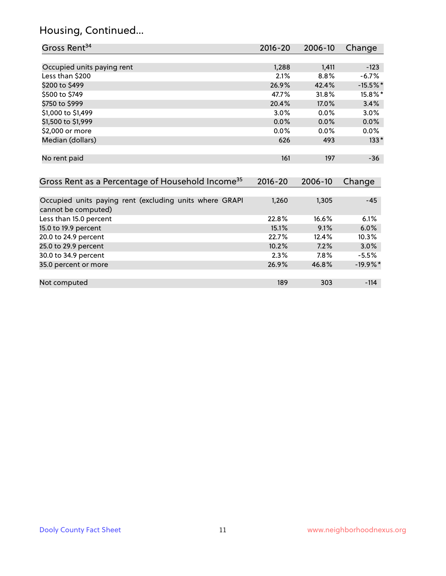#### Housing, Continued...

20.0 to 24.9 percent

35.0 percent or more

| Gross Rent <sup>34</sup>                                                       | 2016-20     | $2006 - 10$ | Change   |
|--------------------------------------------------------------------------------|-------------|-------------|----------|
|                                                                                |             |             |          |
| Occupied units paying rent                                                     | 1,288       | 1,411       | $-123$   |
| Less than \$200                                                                | 2.1%        | 8.8%        | $-6.7%$  |
| \$200 to \$499                                                                 | 26.9%       | 42.4%       | $-15.5%$ |
| \$500 to \$749                                                                 | 47.7%       | 31.8%       | 15.8%*   |
| \$750 to \$999                                                                 | 20.4%       | 17.0%       | 3.4%     |
| \$1,000 to \$1,499                                                             | $3.0\%$     | $0.0\%$     | $3.0\%$  |
| \$1,500 to \$1,999                                                             | 0.0%        | 0.0%        | 0.0%     |
| \$2,000 or more                                                                | 0.0%        | $0.0\%$     | $0.0\%$  |
| Median (dollars)                                                               | 626         | 493         | $133*$   |
| No rent paid                                                                   | 161         | 197         | $-36$    |
| Gross Rent as a Percentage of Household Income <sup>35</sup>                   | $2016 - 20$ | 2006-10     | Change   |
|                                                                                |             |             |          |
| Occupied units paying rent (excluding units where GRAPI<br>cannot be computed) | 1,260       | 1,305       | $-45$    |
| Less than 15.0 percent                                                         | 22.8%       | 16.6%       | 6.1%     |
| 15.0 to 19.9 percent                                                           | 15.1%       | 9.1%        | 6.0%     |
| 20.0 to 24.9 percent                                                           | 22.7%       | 12.4%       | $10.3\%$ |

25.0 to 29.9 percent 10.2% 7.2% 3.0% 30.0 to 34.9 percent 2.3% 7.8% -5.5%

Not computed and the set of the set of the set of the set of the set of the set of the set of the set of the set of the set of the set of the set of the set of the set of the set of the set of the set of the set of the set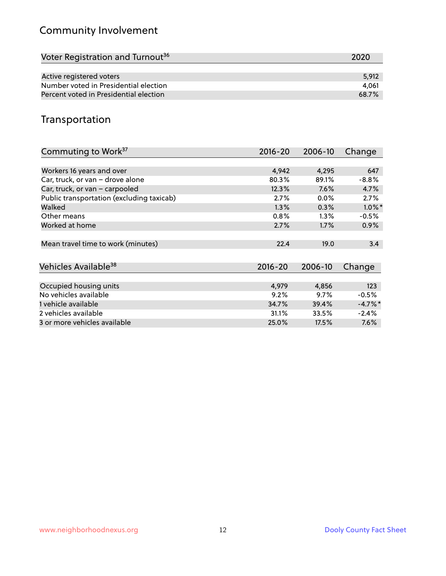# Community Involvement

| Voter Registration and Turnout <sup>36</sup> | 2020  |
|----------------------------------------------|-------|
|                                              |       |
| Active registered voters                     | 5.912 |
| Number voted in Presidential election        | 4.061 |
| Percent voted in Presidential election       | 68.7% |

## Transportation

| Commuting to Work <sup>37</sup>           | 2016-20     | 2006-10 | Change    |
|-------------------------------------------|-------------|---------|-----------|
|                                           |             |         |           |
| Workers 16 years and over                 | 4,942       | 4,295   | 647       |
| Car, truck, or van - drove alone          | 80.3%       | 89.1%   | $-8.8%$   |
| Car, truck, or van - carpooled            | 12.3%       | 7.6%    | 4.7%      |
| Public transportation (excluding taxicab) | 2.7%        | 0.0%    | 2.7%      |
| Walked                                    | 1.3%        | 0.3%    | $1.0\%$ * |
| Other means                               | 0.8%        | $1.3\%$ | $-0.5%$   |
| Worked at home                            | 2.7%        | 1.7%    | 0.9%      |
|                                           |             |         |           |
| Mean travel time to work (minutes)        | 22.4        | 19.0    | 3.4       |
|                                           |             |         |           |
| Vehicles Available <sup>38</sup>          | $2016 - 20$ | 2006-10 | Change    |
|                                           |             |         |           |
| Occupied housing units                    | 4,979       | 4,856   | 123       |
| No vehicles available                     | 9.2%        | 9.7%    | $-0.5%$   |
| 1 vehicle available                       | 34.7%       | 39.4%   | $-4.7%$ * |
| 2 vehicles available                      | 31.1%       | 33.5%   | $-2.4%$   |
| 3 or more vehicles available              | 25.0%       | 17.5%   | $7.6\%$   |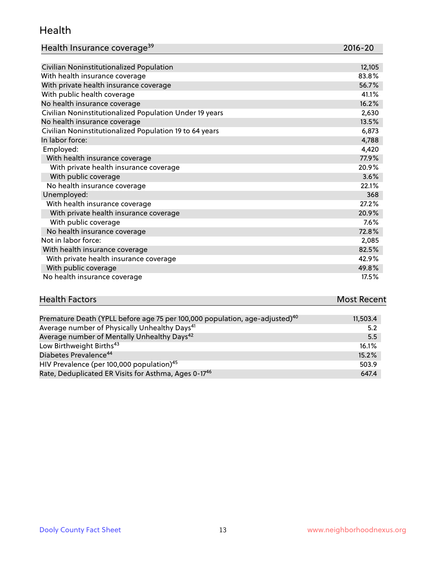#### Health

| Health Insurance coverage <sup>39</sup> | 2016-20 |
|-----------------------------------------|---------|
|-----------------------------------------|---------|

| Civilian Noninstitutionalized Population                | 12,105 |
|---------------------------------------------------------|--------|
| With health insurance coverage                          | 83.8%  |
| With private health insurance coverage                  | 56.7%  |
| With public health coverage                             | 41.1%  |
| No health insurance coverage                            | 16.2%  |
| Civilian Noninstitutionalized Population Under 19 years | 2,630  |
| No health insurance coverage                            | 13.5%  |
| Civilian Noninstitutionalized Population 19 to 64 years | 6,873  |
| In labor force:                                         | 4,788  |
| Employed:                                               | 4,420  |
| With health insurance coverage                          | 77.9%  |
| With private health insurance coverage                  | 20.9%  |
| With public coverage                                    | 3.6%   |
| No health insurance coverage                            | 22.1%  |
| Unemployed:                                             | 368    |
| With health insurance coverage                          | 27.2%  |
| With private health insurance coverage                  | 20.9%  |
| With public coverage                                    | 7.6%   |
| No health insurance coverage                            | 72.8%  |
| Not in labor force:                                     | 2,085  |
| With health insurance coverage                          | 82.5%  |
| With private health insurance coverage                  | 42.9%  |
| With public coverage                                    | 49.8%  |
| No health insurance coverage                            | 17.5%  |

| <b>Health Factors</b> |      | <b>Most Recent</b> |
|-----------------------|------|--------------------|
|                       | $ -$ |                    |

| Premature Death (YPLL before age 75 per 100,000 population, age-adjusted) <sup>40</sup> | 11,503.4 |
|-----------------------------------------------------------------------------------------|----------|
| Average number of Physically Unhealthy Days <sup>41</sup>                               | 5.2      |
| Average number of Mentally Unhealthy Days <sup>42</sup>                                 | 5.5      |
| Low Birthweight Births <sup>43</sup>                                                    | 16.1%    |
| Diabetes Prevalence <sup>44</sup>                                                       | 15.2%    |
| HIV Prevalence (per 100,000 population) <sup>45</sup>                                   | 503.9    |
| Rate, Deduplicated ER Visits for Asthma, Ages 0-17 <sup>46</sup>                        | 647.4    |